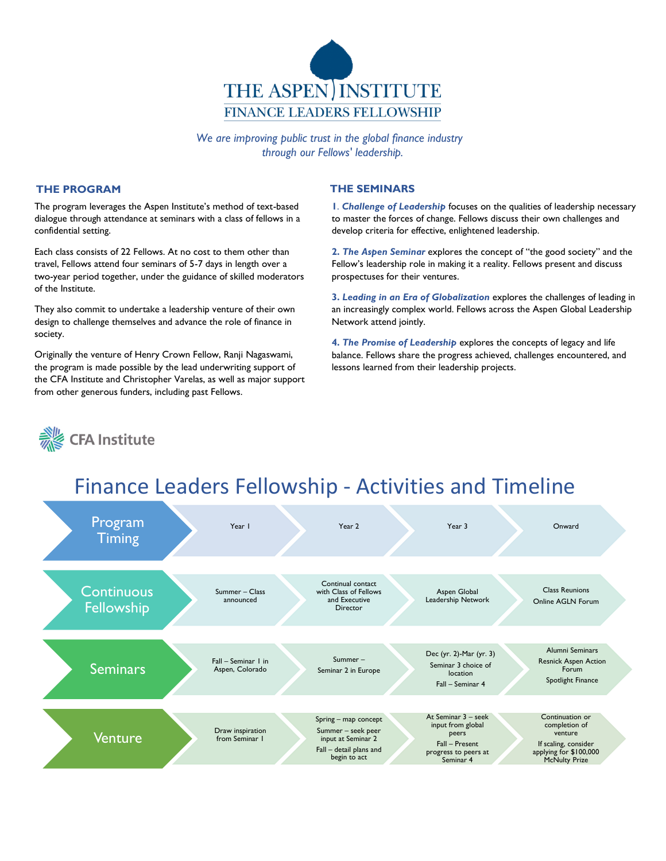

*We are improving public trust in the global finance industry through our Fellows' leadership.*

#### **THE PROGRAM**

The program leverages the Aspen Institute's method of text-based dialogue through attendance at seminars with a class of fellows in a confidential setting.

Each class consists of 22 Fellows. At no cost to them other than travel, Fellows attend four seminars of 5-7 days in length over a two-year period together, under the guidance of skilled moderators of the Institute.

They also commit to undertake a leadership venture of their own design to challenge themselves and advance the role of finance in society.

Originally the venture of Henry Crown Fellow, Ranji Nagaswami, the program is made possible by the lead underwriting support of the CFA Institute and Christopher Varelas, as well as major support from other generous funders, including past Fellows.

#### **THE SEMINARS**

**1**. *Challenge of Leadership* focuses on the qualities of leadership necessary to master the forces of change. Fellows discuss their own challenges and develop criteria for effective, enlightened leadership.

**2.** *The Aspen Seminar* explores the concept of "the good society" and the Fellow's leadership role in making it a reality. Fellows present and discuss prospectuses for their ventures.

**3.** *Leading in an Era of Globalization* explores the challenges of leading in an increasingly complex world. Fellows across the Aspen Global Leadership Network attend jointly.

**4.** *The Promise of Leadership* explores the concepts of legacy and life balance. Fellows share the progress achieved, challenges encountered, and lessons learned from their leadership projects.

> Fall – Present progress to peers at Seminar 4

If scaling, consider applying for \$100,000 McNulty Prize





input at Seminar 2 Fall – detail plans and begin to act

from Seminar 1

# Finance Leaders Fellowship - Activities and Timeline